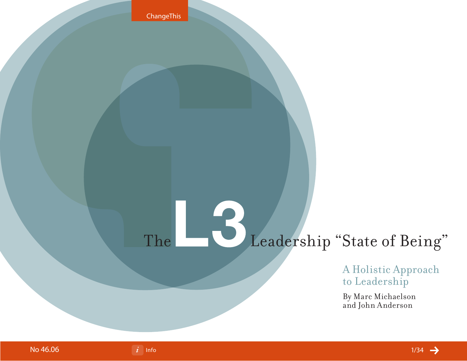

A Holistic Approach to Leadership

By Marc Michaelson and John Anderson



ChangeThis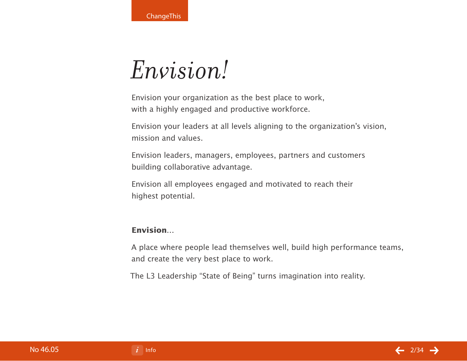**ChangeThis** 

# *Envision!*

Envision your organization as the best place to work, with a highly engaged and productive workforce.

Envision your leaders at all levels aligning to the organization's vision, mission and values.

Envision leaders, managers, employees, partners and customers building collaborative advantage.

Envision all employees engaged and motivated to reach their highest potential.

## **Envision…**

A place where people lead themselves well, build high performance teams, and create the very best place to work.

The L3 Leadership "State of Being" turns imagination into reality.

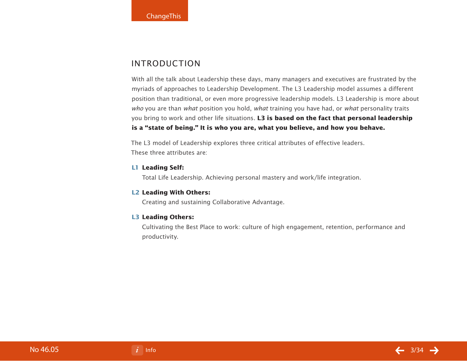## **INTRODUCTION**

With all the talk about Leadership these days, many managers and executives are frustrated by the myriads of approaches to Leadership Development. The L3 Leadership model assumes a different position than traditional, or even more progressive leadership models. L3 Leadership is more about who you are than what position you hold, what training you have had, or what personality traits you bring to work and other life situations. **L3 is based on the fact that personal leadership is a "state of being." It is who you are, what you believe, and how you behave.**

The L3 model of Leadership explores three critical attributes of effective leaders. These three attributes are:

#### **L1 Leading Self:**

Total Life Leadership. Achieving personal mastery and work/life integration.

#### **L2 Leading With Others:**

Creating and sustaining Collaborative Advantage.

#### **L3 Leading Others:**

 Cultivating the Best Place to work: culture of high engagement, retention, performance and productivity.

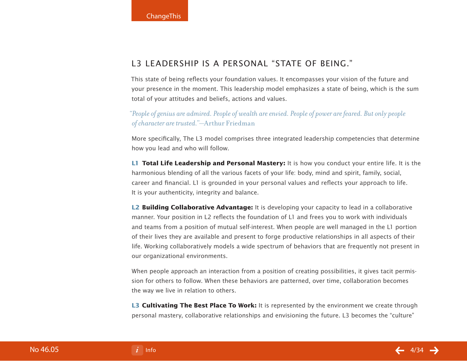## L3 Leadership is a personal "state of being."

This state of being reflects your foundation values. It encompasses your vision of the future and your presence in the moment. This leadership model emphasizes a state of being, which is the sum total of your attitudes and beliefs, actions and values.

*"People of genius are admired. People of wealth are envied. People of power are feared. But only people of character are trusted."*—Arthur Friedman

More specifically, The L3 model comprises three integrated leadership competencies that determine how you lead and who will follow.

**L1 Total Life Leadership and Personal Mastery:** It is how you conduct your entire life. It is the harmonious blending of all the various facets of your life: body, mind and spirit, family, social, career and financial. L1 is grounded in your personal values and reflects your approach to life. It is your authenticity, integrity and balance.

**L2 Building Collaborative Advantage:** It is developing your capacity to lead in a collaborative manner. Your position in L2 reflects the foundation of L1 and frees you to work with individuals and teams from a position of mutual self-interest. When people are well managed in the L1 portion of their lives they are available and present to forge productive relationships in all aspects of their life. Working collaboratively models a wide spectrum of behaviors that are frequently not present in our organizational environments.

When people approach an interaction from a position of creating possibilities, it gives tacit permission for others to follow. When these behaviors are patterned, over time, collaboration becomes the way we live in relation to others.

**L3 Cultivating The Best Place To Work:** It is represented by the environment we create through personal mastery, collaborative relationships and envisioning the future. L3 becomes the "culture"

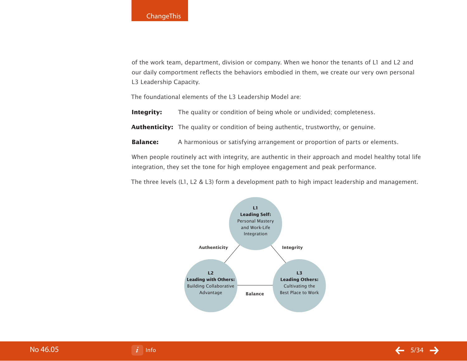of the work team, department, division or company. When we honor the tenants of L1 and L2 and our daily comportment reflects the behaviors embodied in them, we create our very own personal L3 Leadership Capacity.

The foundational elements of the L3 Leadership Model are:

**Integrity:** The quality or condition of being whole or undivided; completeness.

**Authenticity:** The quality or condition of being authentic, trustworthy, or genuine.

**Balance:** A harmonious or satisfying arrangement or proportion of parts or elements.

When people routinely act with integrity, are authentic in their approach and model healthy total life integration, they set the tone for high employee engagement and peak performance.

The three levels (L1, L2 & L3) form a development path to high impact leadership and management.



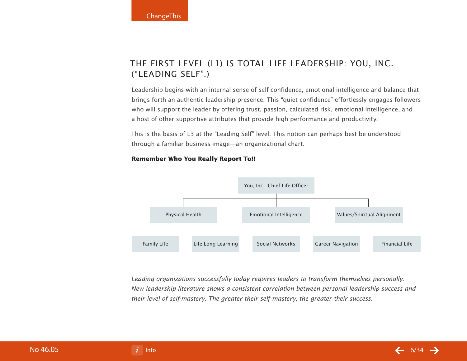## The first level (L1) is Total Life Leadership: You, Inc. ("Leading Self".)

Leadership begins with an internal sense of self-confidence, emotional intelligence and balance that brings forth an authentic leadership presence. This "quiet confidence" effortlessly engages followers who will support the leader by offering trust, passion, calculated risk, emotional intelligence, and a host of other supportive attributes that provide high performance and productivity.

This is the basis of L3 at the "Leading Self" level. This notion can perhaps best be understood through a familiar business image—an organizational chart.



#### **Remember Who You Really Report To!!**

Leading organizations successfully today requires leaders to transform themselves personally. New leadership literature shows a consistent correlation between personal leadership success and their level of self-mastery. The greater their self mastery, the greater their success.

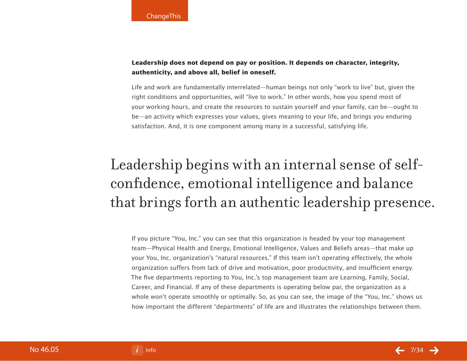## **Leadership does not depend on pay or position. It depends on character, integrity, authenticity, and above all, belief in oneself.**

Life and work are fundamentally interrelated—human beings not only "work to live" but, given the right conditions and opportunities, will "live to work." In other words, how you spend most of your working hours, and create the resources to sustain yourself and your family, can be—ought to be—an activity which expresses your values, gives meaning to your life, and brings you enduring satisfaction. And, it is one component among many in a successful, satisfying life.

## Leadership begins with an internal sense of selfconfidence, emotional intelligence and balance that brings forth an authentic leadership presence.

If you picture "You, Inc." you can see that this organization is headed by your top management team—Physical Health and Energy, Emotional Intelligence, Values and Beliefs areas—that make up your You, Inc. organization's "natural resources." If this team isn't operating effectively, the whole organization suffers from lack of drive and motivation, poor productivity, and insufficient energy. The five departments reporting to You, Inc.'s top management team are Learning, Family, Social, Career, and Financial. If any of these departments is operating below par, the organization as a whole won't operate smoothly or optimally. So, as you can see, the image of the "You, Inc." shows us how important the different "departments" of life are and illustrates the relationships between them.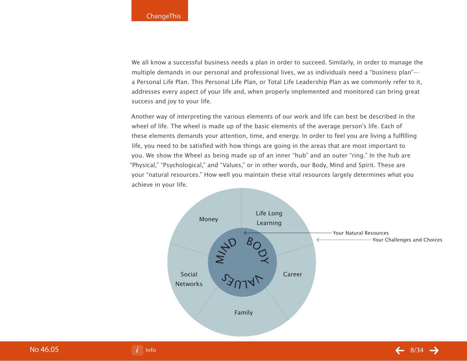We all know a successful business needs a plan in order to succeed. Similarly, in order to manage the multiple demands in our personal and professional lives, we as individuals need a "business plan" a Personal Life Plan. This Personal Life Plan, or Total Life Leadership Plan as we commonly refer to it, addresses every aspect of your life and, when properly implemented and monitored can bring great success and joy to your life.

Another way of interpreting the various elements of our work and life can best be described in the wheel of life. The wheel is made up of the basic elements of the average person's life. Each of these elements demands your attention, time, and energy. In order to feel you are living a fulfilling life, you need to be satisfied with how things are going in the areas that are most important to you. We show the Wheel as being made up of an inner "hub" and an outer "ring." In the hub are "Physical," "Psychological," and "Values," or in other words, our Body, Mind and Spirit. These are your "natural resources." How well you maintain these vital resources largely determines what you achieve in your life.

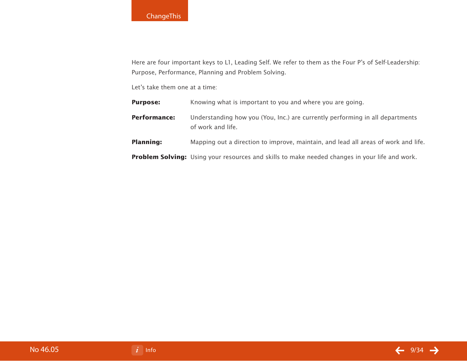## **ChangeThis**

Here are four important keys to L1, Leading Self. We refer to them as the Four P's of Self-Leadership: Purpose, Performance, Planning and Problem Solving.

Let's take them one at a time:

| <b>Purpose:</b>     | Knowing what is important to you and where you are going.                                             |
|---------------------|-------------------------------------------------------------------------------------------------------|
| <b>Performance:</b> | Understanding how you (You, Inc.) are currently performing in all departments<br>of work and life.    |
| <b>Planning:</b>    | Mapping out a direction to improve, maintain, and lead all areas of work and life.                    |
|                     | <b>Problem Solving:</b> Using your resources and skills to make needed changes in your life and work. |

No 46.05

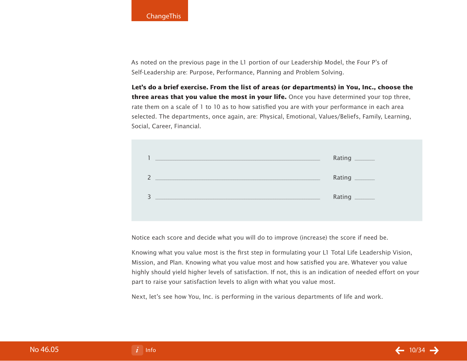As noted on the previous page in the L1 portion of our Leadership Model, the Four P's of Self-Leadership are: Purpose, Performance, Planning and Problem Solving.

**Let's do a brief exercise. From the list of areas (or departments) in You, Inc., choose the three areas that you value the most in your life.** Once you have determined your top three, rate them on a scale of 1 to 10 as to how satisfied you are with your performance in each area selected. The departments, once again, are: Physical, Emotional, Values/Beliefs, Family, Learning, Social, Career, Financial.

|                                            | Rating _______ |
|--------------------------------------------|----------------|
| <u> 1999 - Johann John Stein, markin f</u> | Rating _______ |
|                                            | Rating _______ |
|                                            |                |

Notice each score and decide what you will do to improve (increase) the score if need be.

Knowing what you value most is the first step in formulating your L1 Total Life Leadership Vision, Mission, and Plan. Knowing what you value most and how satisfied you are. Whatever you value highly should yield higher levels of satisfaction. If not, this is an indication of needed effort on your part to raise your satisfaction levels to align with what you value most.

Next, let's see how You, Inc. is performing in the various departments of life and work.

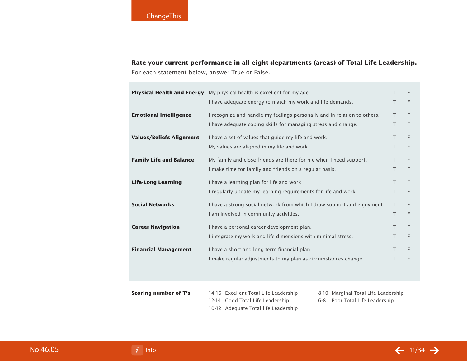**Rate your current performance in all eight departments (areas) of Total Life Leadership.**  For each statement below, answer True or False.

|                                                                    | <b>Physical Health and Energy</b> My physical health is excellent for my age. |    |   |
|--------------------------------------------------------------------|-------------------------------------------------------------------------------|----|---|
|                                                                    | I have adequate energy to match my work and life demands.                     | T  | F |
| <b>Emotional Intelligence</b>                                      | I recognize and handle my feelings personally and in relation to others.      | T. | F |
|                                                                    | I have adequate coping skills for managing stress and change.                 | T  | F |
| <b>Values/Beliefs Alignment</b>                                    | I have a set of values that guide my life and work.                           |    |   |
|                                                                    | My values are aligned in my life and work.                                    | T. | F |
| <b>Family Life and Balance</b>                                     | My family and close friends are there for me when I need support.             | T  | F |
|                                                                    | I make time for family and friends on a regular basis.                        | T. | F |
| <b>Life-Long Learning</b>                                          | I have a learning plan for life and work.                                     | T. | F |
|                                                                    | I regularly update my learning requirements for life and work.                | T  | F |
| <b>Social Networks</b>                                             | I have a strong social network from which I draw support and enjoyment.       | T. | F |
|                                                                    | I am involved in community activities.                                        | T. | F |
| <b>Career Navigation</b>                                           | I have a personal career development plan.                                    | T. | F |
|                                                                    | I integrate my work and life dimensions with minimal stress.                  | T  | F |
| <b>Financial Management</b>                                        | I have a short and long term financial plan.                                  | T  | F |
|                                                                    | I make regular adjustments to my plan as circumstances change.                | T  | F |
|                                                                    |                                                                               |    |   |
| <b>Scoring number of T's</b>                                       | 14-16 Excellent Total Life Leadership<br>8-10 Marginal Total Life Leadership  |    |   |
| 12-14 Good Total Life Leadership<br>6-8 Poor Total Life Leadership |                                                                               |    |   |

10-12 Adequate Total life Leadership

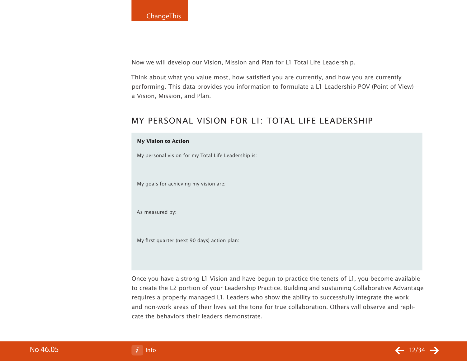Now we will develop our Vision, Mission and Plan for L1 Total Life Leadership.

Think about what you value most, how satisfied you are currently, and how you are currently performing. This data provides you information to formulate a L1 Leadership POV (Point of View) a Vision, Mission, and Plan.

## My Personal Vision for L1: Total Life Leadership

#### **My Vision to Action**

My personal vision for my Total Life Leadership is:

My goals for achieving my vision are:

As measured by:

My first quarter (next 90 days) action plan:

Once you have a strong L1 Vision and have begun to practice the tenets of L1, you become available to create the L2 portion of your Leadership Practice. Building and sustaining Collaborative Advantage requires a properly managed L1. Leaders who show the ability to successfully integrate the work and non-work areas of their lives set the tone for true collaboration. Others will observe and replicate the behaviors their leaders demonstrate.

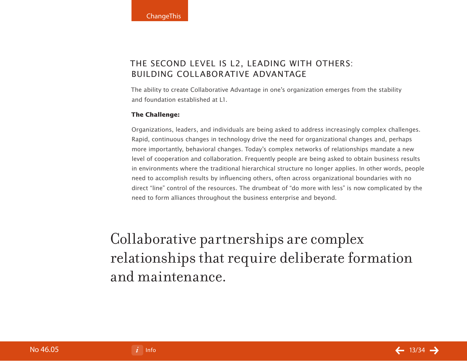## The second level is L2, Leading With Others: Building Collaborative Advantage

The ability to create Collaborative Advantage in one's organization emerges from the stability and foundation established at L1.

#### **The Challenge:**

Organizations, leaders, and individuals are being asked to address increasingly complex challenges. Rapid, continuous changes in technology drive the need for organizational changes and, perhaps more importantly, behavioral changes. Today's complex networks of relationships mandate a new level of cooperation and collaboration. Frequently people are being asked to obtain business results in environments where the traditional hierarchical structure no longer applies. In other words, people need to accomplish results by influencing others, often across organizational boundaries with no direct "line" control of the resources. The drumbeat of "do more with less" is now complicated by the need to form alliances throughout the business enterprise and beyond.

Collaborative partnerships are complex relationships that require deliberate formation and maintenance.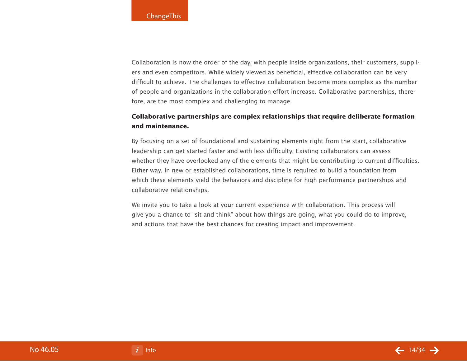Collaboration is now the order of the day, with people inside organizations, their customers, suppliers and even competitors. While widely viewed as beneficial, effective collaboration can be very difficult to achieve. The challenges to effective collaboration become more complex as the number of people and organizations in the collaboration effort increase. Collaborative partnerships, therefore, are the most complex and challenging to manage.

## **Collaborative partnerships are complex relationships that require deliberate formation and maintenance.**

By focusing on a set of foundational and sustaining elements right from the start, collaborative leadership can get started faster and with less difficulty. Existing collaborators can assess whether they have overlooked any of the elements that might be contributing to current difficulties. Either way, in new or established collaborations, time is required to build a foundation from which these elements yield the behaviors and discipline for high performance partnerships and collaborative relationships.

We invite you to take a look at your current experience with collaboration. This process will give you a chance to "sit and think" about how things are going, what you could do to improve, and actions that have the best chances for creating impact and improvement.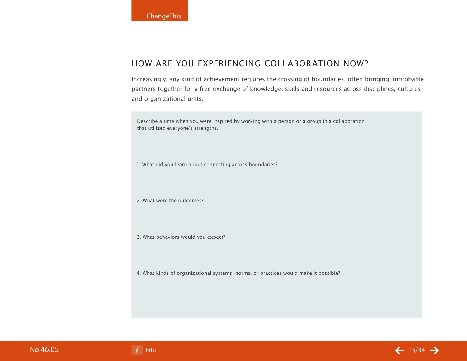## How are you experiencing collaboration now?

Increasingly, any kind of achievement requires the crossing of boundaries, often bringing improbable partners together for a free exchange of knowledge, skills and resources across disciplines, cultures and organizational units.

Describe a time when you were inspired by working with a person or a group in a collaboration that utilized everyone's strengths.

1. What did you learn about connecting across boundaries?

2. What were the outcomes?

3. What behaviors would you expect?

4. What kinds of organizational systems, norms, or practices would make it possible?

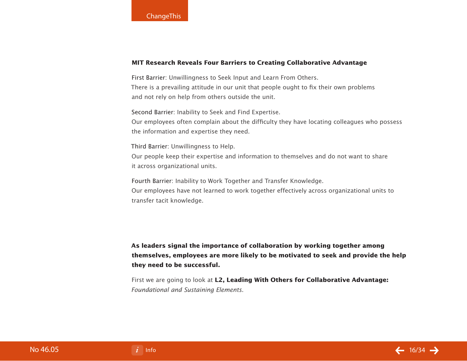#### **MIT Research Reveals Four Barriers to Creating Collaborative Advantage**

First Barrier: Unwillingness to Seek Input and Learn From Others. There is a prevailing attitude in our unit that people ought to fix their own problems and not rely on help from others outside the unit.

Second Barrier: Inability to Seek and Find Expertise.

Our employees often complain about the difficulty they have locating colleagues who possess the information and expertise they need.

Third Barrier: Unwillingness to Help. Our people keep their expertise and information to themselves and do not want to share it across organizational units.

Fourth Barrier: Inability to Work Together and Transfer Knowledge. Our employees have not learned to work together effectively across organizational units to transfer tacit knowledge.

**As leaders signal the importance of collaboration by working together among themselves, employees are more likely to be motivated to seek and provide the help they need to be successful.**

First we are going to look at **L2, Leading With Others for Collaborative Advantage:** Foundational and Sustaining Elements.

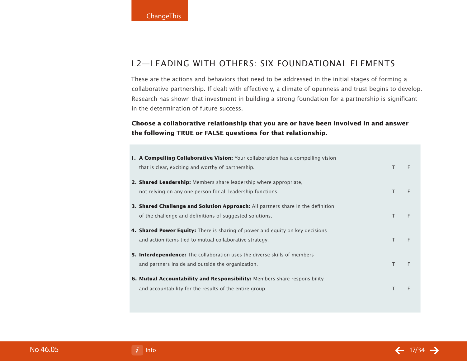## L2—Leading With Others: Six Foundational Elements

These are the actions and behaviors that need to be addressed in the initial stages of forming a collaborative partnership. If dealt with effectively, a climate of openness and trust begins to develop. Research has shown that investment in building a strong foundation for a partnership is significant in the determination of future success.

## **Choose a collaborative relationship that you are or have been involved in and answer the following TRUE or FALSE questions for that relationship.**

| <b>1. A Compelling Collaborative Vision:</b> Your collaboration has a compelling vision |        |   |
|-----------------------------------------------------------------------------------------|--------|---|
| that is clear, exciting and worthy of partnership.                                      | $\top$ | F |
| <b>2. Shared Leadership:</b> Members share leadership where appropriate,                |        |   |
| not relying on any one person for all leadership functions.                             | T.     | F |
| <b>3. Shared Challenge and Solution Approach:</b> All partners share in the definition  |        |   |
| of the challenge and definitions of suggested solutions.                                | $\top$ | F |
| <b>4. Shared Power Equity:</b> There is sharing of power and equity on key decisions    |        |   |
| and action items tied to mutual collaborative strategy.                                 | $\top$ | F |
| <b>5. Interdependence:</b> The collaboration uses the diverse skills of members         |        |   |
| and partners inside and outside the organization.                                       | $\top$ | F |
| 6. Mutual Accountability and Responsibility: Members share responsibility               |        |   |
| and accountability for the results of the entire group.                                 | T      | F |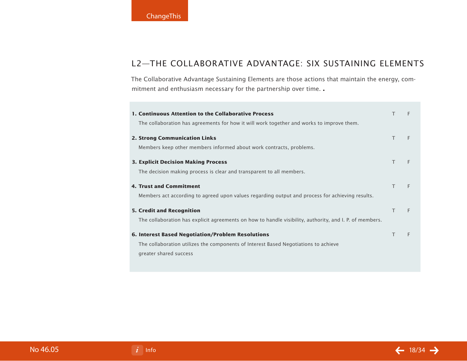## L2—The Collaborative Advantage: Six Sustaining Elements

The Collaborative Advantage Sustaining Elements are those actions that maintain the energy, commitment and enthusiasm necessary for the partnership over time. **.**

| 1. Continuous Attention to the Collaborative Process                                                    | т | F |
|---------------------------------------------------------------------------------------------------------|---|---|
| The collaboration has agreements for how it will work together and works to improve them.               |   |   |
| <b>2. Strong Communication Links</b>                                                                    | Τ | F |
| Members keep other members informed about work contracts, problems.                                     |   |   |
| <b>3. Explicit Decision Making Process</b>                                                              | Τ | F |
| The decision making process is clear and transparent to all members.                                    |   |   |
| <b>4. Trust and Commitment</b>                                                                          | T | E |
| Members act according to agreed upon values regarding output and process for achieving results.         |   |   |
| <b>5. Credit and Recognition</b>                                                                        | Τ | F |
| The collaboration has explicit agreements on how to handle visibility, authority, and I. P. of members. |   |   |
| <b>6. Interest Based Negotiation/Problem Resolutions</b>                                                | т | F |
| The collaboration utilizes the components of Interest Based Negotiations to achieve                     |   |   |
| greater shared success                                                                                  |   |   |
|                                                                                                         |   |   |

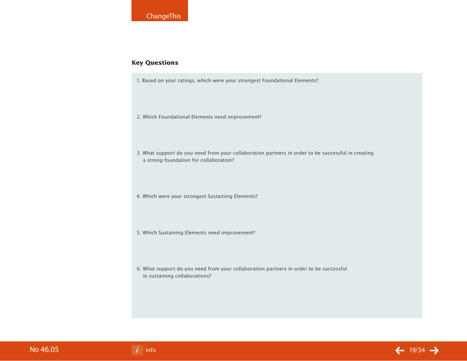#### **Key Questions**

1. Based on your ratings, which were your strongest Foundational Elements?

2. Which Foundational Elements need improvement?

3. What support do you need from your collaboration partners in order to be successful in creating a strong foundation for collaboration?

4. Which were your strongest Sustaining Elements?

- 5. Which Sustaining Elements need improvement?
- 6. What support do you need from your collaboration partners in order to be successful in sustaining collaborations?

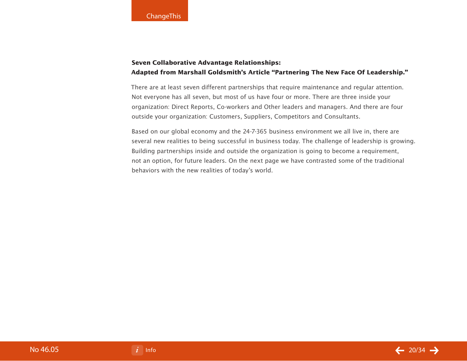## **Seven Collaborative Advantage Relationships: Adapted from Marshall Goldsmith's Article "Partnering The New Face Of Leadership."**

There are at least seven different partnerships that require maintenance and regular attention. Not everyone has all seven, but most of us have four or more. There are three inside your organization: Direct Reports, Co-workers and Other leaders and managers. And there are four outside your organization: Customers, Suppliers, Competitors and Consultants.

Based on our global economy and the 24-7-365 business environment we all live in, there are several new realities to being successful in business today. The challenge of leadership is growing. Building partnerships inside and outside the organization is going to become a requirement, not an option, for future leaders. On the next page we have contrasted some of the traditional behaviors with the new realities of today's world.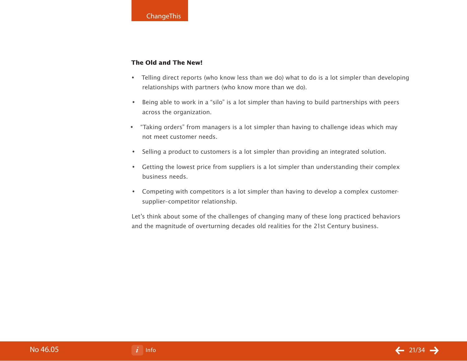#### **The Old and The New!**

- Telling direct reports (who know less than we do) what to do is a lot simpler than developing relationships with partners (who know more than we do). •
- Being able to work in a "silo" is a lot simpler than having to build partnerships with peers across the organization. •
- "Taking orders" from managers is a lot simpler than having to challenge ideas which may not meet customer needs. •
- Selling a product to customers is a lot simpler than providing an integrated solution.
- Getting the lowest price from suppliers is a lot simpler than understanding their complex business needs.
- Competing with competitors is a lot simpler than having to develop a complex customersupplier–competitor relationship.

Let's think about some of the challenges of changing many of these long practiced behaviors and the magnitude of overturning decades old realities for the 21st Century business.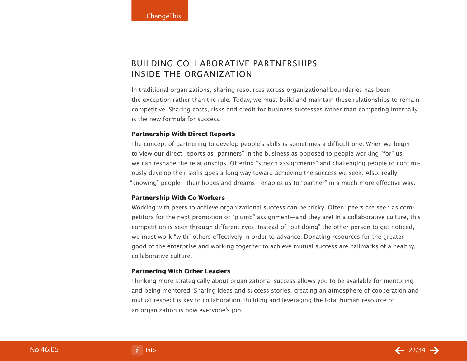## BUILDING COLLABORATIVE PARTNERSHIPS INSIDE THE ORGANIZATION

In traditional organizations, sharing resources across organizational boundaries has been the exception rather than the rule. Today, we must build and maintain these relationships to remain competitive. Sharing costs, risks and credit for business successes rather than competing internally is the new formula for success.

#### **Partnership With Direct Reports**

The concept of partnering to develop people's skills is sometimes a difficult one. When we begin to view our direct reports as "partners" in the business as opposed to people working "for" us, we can reshape the relationships. Offering "stretch assignments" and challenging people to continuously develop their skills goes a long way toward achieving the success we seek. Also, really "knowing" people—their hopes and dreams—enables us to "partner" in a much more effective way.

#### **Partnership With Co-Workers**

Working with peers to achieve organizational success can be tricky. Often, peers are seen as competitors for the next promotion or "plumb" assignment—and they are! In a collaborative culture, this competition is seen through different eyes. Instead of "out-doing" the other person to get noticed, we must work "with" others effectively in order to advance. Donating resources for the greater good of the enterprise and working together to achieve mutual success are hallmarks of a healthy, collaborative culture.

#### **Partnering With Other Leaders**

Thinking more strategically about organizational success allows you to be available for mentoring and being mentored. Sharing ideas and success stories, creating an atmosphere of cooperation and mutual respect is key to collaboration. Building and leveraging the total human resource of an organization is now everyone's job.

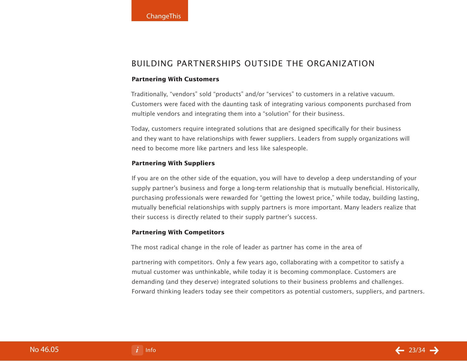## BUILDING PARTNERSHIPS OUTSIDE THE ORGANIZATION

#### **Partnering With Customers**

Traditionally, "vendors" sold "products" and/or "services" to customers in a relative vacuum. Customers were faced with the daunting task of integrating various components purchased from multiple vendors and integrating them into a "solution" for their business.

Today, customers require integrated solutions that are designed specifically for their business and they want to have relationships with fewer suppliers. Leaders from supply organizations will need to become more like partners and less like salespeople.

#### **Partnering With Suppliers**

If you are on the other side of the equation, you will have to develop a deep understanding of your supply partner's business and forge a long-term relationship that is mutually beneficial. Historically, purchasing professionals were rewarded for "getting the lowest price," while today, building lasting, mutually beneficial relationships with supply partners is more important. Many leaders realize that their success is directly related to their supply partner's success.

#### **Partnering With Competitors**

The most radical change in the role of leader as partner has come in the area of

partnering with competitors. Only a few years ago, collaborating with a competitor to satisfy a mutual customer was unthinkable, while today it is becoming commonplace. Customers are demanding (and they deserve) integrated solutions to their business problems and challenges. Forward thinking leaders today see their competitors as potential customers, suppliers, and partners.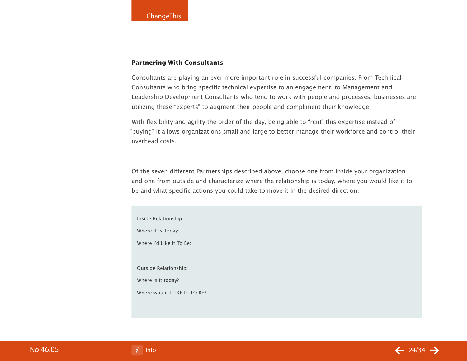#### **Partnering With Consultants**

Consultants are playing an ever more important role in successful companies. From Technical Consultants who bring specific technical expertise to an engagement, to Management and Leadership Development Consultants who tend to work with people and processes, businesses are utilizing these "experts" to augment their people and compliment their knowledge.

With flexibility and agility the order of the day, being able to "rent' this expertise instead of "buying" it allows organizations small and large to better manage their workforce and control their overhead costs.

Of the seven different Partnerships described above, choose one from inside your organization and one from outside and characterize where the relationship is today, where you would like it to be and what specific actions you could take to move it in the desired direction.

Inside Relationship: Where It Is Today: Where I'd Like It To Be: Outside Relationship: Where is it today? Where would I LIKE IT TO RE?

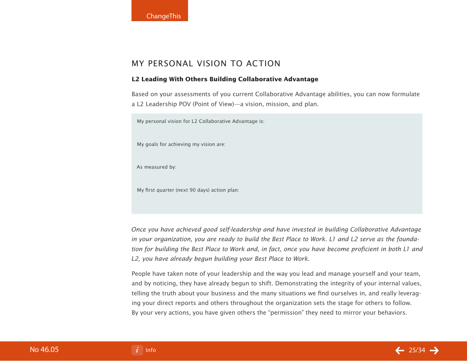## My Personal Vision To Action

#### **L2 Leading With Others Building Collaborative Advantage**

Based on your assessments of you current Collaborative Advantage abilities, you can now formulate a L2 Leadership POV (Point of View)—a vision, mission, and plan.

My personal vision for L2 Collaborative Advantage is:

My goals for achieving my vision are:

As measured by:

My first quarter (next 90 days) action plan:

Once you have achieved good self-leadership and have invested in building Collaborative Advantage in your organization, you are ready to build the Best Place to Work. L1 and L2 serve as the foundation for building the Best Place to Work and, in fact, once you have become proficient in both L1 and L2, you have already begun building your Best Place to Work.

People have taken note of your leadership and the way you lead and manage yourself and your team, and by noticing, they have already begun to shift. Demonstrating the integrity of your internal values, telling the truth about your business and the many situations we find ourselves in, and really leveraging your direct reports and others throughout the organization sets the stage for others to follow. By your very actions, you have given others the "permission" they need to mirror your behaviors.

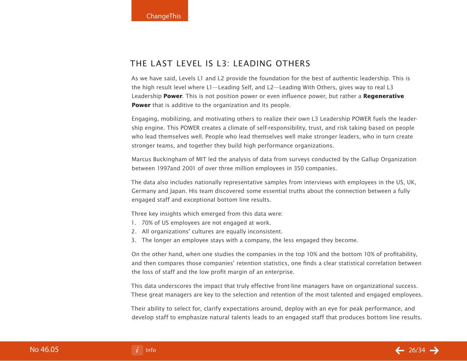## The last level is L3: Leading Others

As we have said, Levels L1 and L2 provide the foundation for the best of authentic leadership. This is the high result level where L1—Leading Self, and L2—Leading With Others, gives way to real L3 Leadership **Power**. This is not position power or even influence power, but rather a **Regenerative Power** that is additive to the organization and its people.

Engaging, mobilizing, and motivating others to realize their own L3 Leadership POWER fuels the leadership engine. This POWER creates a climate of self-responsibility, trust, and risk taking based on people who lead themselves well. People who lead themselves well make stronger leaders, who in turn create stronger teams, and together they build high performance organizations.

Marcus Buckingham of MIT led the analysis of data from surveys conducted by the Gallup Organization between 1997and 2001 of over three million employees in 350 companies.

The data also includes nationally representative samples from interviews with employees in the US, UK, Germany and Japan. His team discovered some essential truths about the connection between a fully engaged staff and exceptional bottom line results.

Three key insights which emerged from this data were:

- 70% of US employees are not engaged at work. 1.
- All organizations' cultures are equally inconsistent. 2.
- The longer an employee stays with a company, the less engaged they become. 3.

On the other hand, when one studies the companies in the top 10% and the bottom 10% of profitability, and then compares those companies' retention statistics, one finds a clear statistical correlation between the loss of staff and the low profit margin of an enterprise.

This data underscores the impact that truly effective front-line managers have on organizational success. These great managers are key to the selection and retention of the most talented and engaged employees.

Their ability to select for, clarify expectations around, deploy with an eye for peak performance, and develop staff to emphasize natural talents leads to an engaged staff that produces bottom line results.

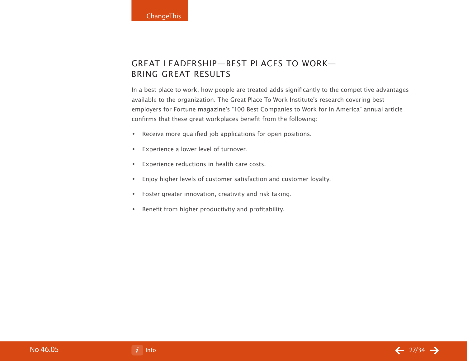## Great Leadership—Best Places To Work— Bring Great Results

In a best place to work, how people are treated adds significantly to the competitive advantages available to the organization. The Great Place To Work Institute's research covering best employers for Fortune magazine's "100 Best Companies to Work for in America" annual article confirms that these great workplaces benefit from the following:

- Receive more qualified job applications for open positions. •
- Experience a lower level of turnover. •
- Experience reductions in health care costs. •
- Enjoy higher levels of customer satisfaction and customer loyalty. •
- Foster greater innovation, creativity and risk taking. •
- Benefit from higher productivity and profitability. •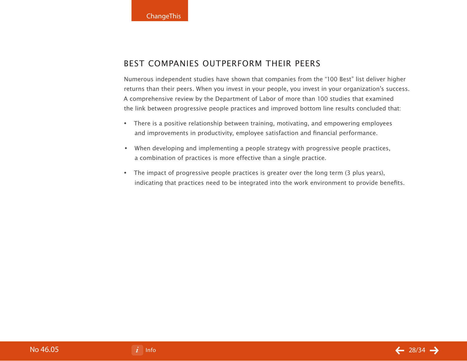## Best Companies Outperform Their Peers

Numerous independent studies have shown that companies from the "100 Best" list deliver higher returns than their peers. When you invest in your people, you invest in your organization's success. A comprehensive review by the Department of Labor of more than 100 studies that examined the link between progressive people practices and improved bottom line results concluded that:

- There is a positive relationship between training, motivating, and empowering employees and improvements in productivity, employee satisfaction and financial performance.
- When developing and implementing a people strategy with progressive people practices, a combination of practices is more effective than a single practice.
- The impact of progressive people practices is greater over the long term (3 plus years), indicating that practices need to be integrated into the work environment to provide benefits.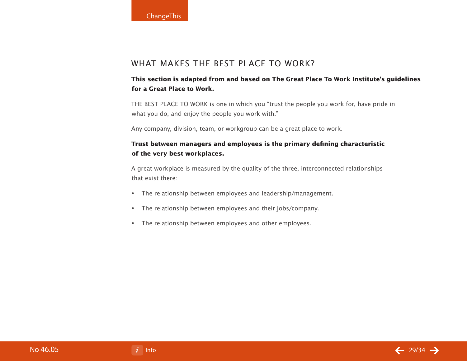## WHAT MAKES The BEST PLACE TO WORK?

## **This section is adapted from and based on The Great Place To Work Institute's guidelines for a Great Place to Work.**

THE BEST PLACE TO WORK is one in which you "trust the people you work for, have pride in what you do, and enjoy the people you work with."

Any company, division, team, or workgroup can be a great place to work.

## **Trust between managers and employees is the primary defining characteristic of the very best workplaces.**

A great workplace is measured by the quality of the three, interconnected relationships that exist there:

- The relationship between employees and leadership/management. •
- The relationship between employees and their jobs/company. •
- The relationship between employees and other employees. •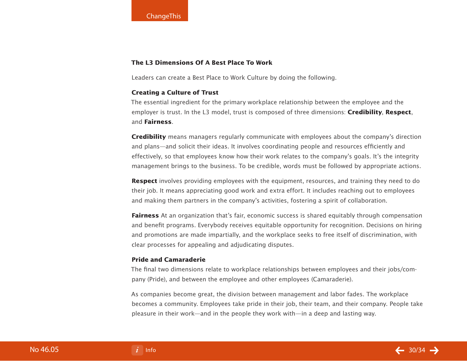#### **The L3 Dimensions Of A Best Place To Work**

Leaders can create a Best Place to Work Culture by doing the following.

#### **Creating a Culture of Trust**

The essential ingredient for the primary workplace relationship between the employee and the employer is trust. In the L3 model, trust is composed of three dimensions: **Credibility**, **Respect**, and **Fairness**.

**Credibility** means managers regularly communicate with employees about the company's direction and plans—and solicit their ideas. It involves coordinating people and resources efficiently and effectively, so that employees know how their work relates to the company's goals. It's the integrity management brings to the business. To be credible, words must be followed by appropriate actions.

**Respect** involves providing employees with the equipment, resources, and training they need to do their job. It means appreciating good work and extra effort. It includes reaching out to employees and making them partners in the company's activities, fostering a spirit of collaboration.

**Fairness** At an organization that's fair, economic success is shared equitably through compensation and benefit programs. Everybody receives equitable opportunity for recognition. Decisions on hiring and promotions are made impartially, and the workplace seeks to free itself of discrimination, with clear processes for appealing and adjudicating disputes.

#### **Pride and Camaraderie**

The final two dimensions relate to workplace relationships between employees and their jobs/company (Pride), and between the employee and other employees (Camaraderie).

As companies become great, the division between management and labor fades. The workplace becomes a community. Employees take pride in their job, their team, and their company. People take pleasure in their work—and in the people they work with—in a deep and lasting way.

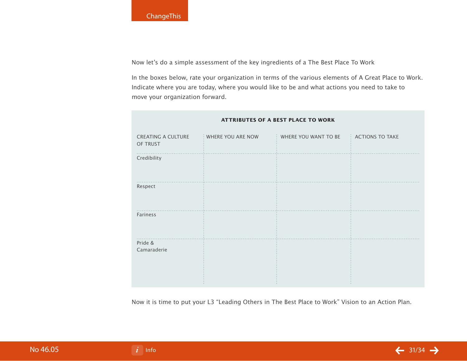Now let's do a simple assessment of the key ingredients of a The Best Place To Work

In the boxes below, rate your organization in terms of the various elements of A Great Place to Work. Indicate where you are today, where you would like to be and what actions you need to take to move your organization forward.

| <b>CREATING A CULTURE</b><br>OF TRUST | WHERE YOU ARE NOW | WHERE YOU WANT TO BE | <b>ACTIONS TO TAKE</b> |
|---------------------------------------|-------------------|----------------------|------------------------|
| Credibility                           |                   |                      |                        |
| Respect                               |                   |                      |                        |
| Fariness                              |                   |                      |                        |
| Pride &<br>Camaraderie                |                   |                      |                        |

#### **Attributes of a Best Place To Work**

Now it is time to put your L3 "Leading Others in The Best Place to Work" Vision to an Action Plan.

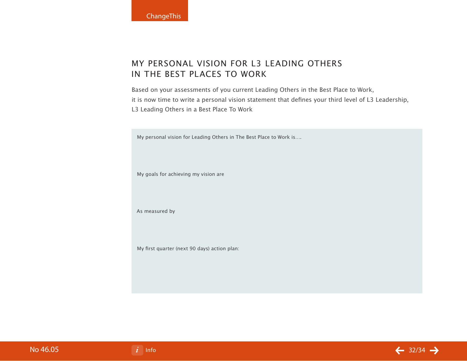## My Personal Vision for L3 Leading Others in The Best Places to Work

Based on your assessments of you current Leading Others in the Best Place to Work, it is now time to write a personal vision statement that defines your third level of L3 Leadership, L3 Leading Others in a Best Place To Work

My personal vision for Leading Others in The Best Place to Work is….

My goals for achieving my vision are

As measured by

My first quarter (next 90 days) action plan:

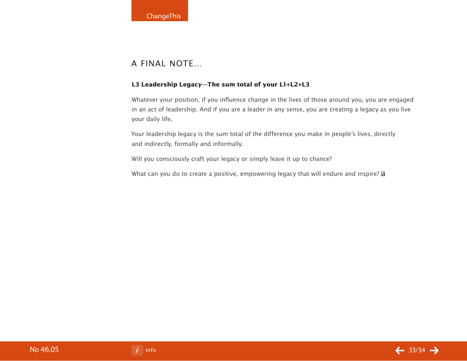## A Final Note…

#### **L3 Leadership Legacy—The sum total of your L1+L2+L3**

Whatever your position, if you influence change in the lives of those around you, you are engaged in an act of leadership. And if you are a leader in any sense, you are creating a legacy as you live your daily life.

Your leadership legacy is the sum total of the difference you make in people's lives, directly and indirectly, formally and informally.

Will you consciously craft your legacy or simply leave it up to chance?

What can you do to create a positive, empowering legacy that will endure and inspire?  $\mathbb S$